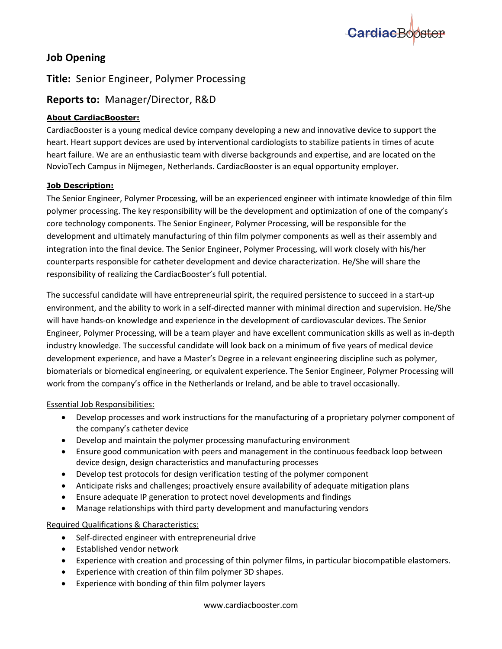

# **Job Opening**

## **Title:** Senior Engineer, Polymer Processing

## **Reports to:** Manager/Director, R&D

## **About CardiacBooster:**

CardiacBooster is a young medical device company developing a new and innovative device to support the heart. Heart support devices are used by interventional cardiologists to stabilize patients in times of acute heart failure. We are an enthusiastic team with diverse backgrounds and expertise, and are located on the NovioTech Campus in Nijmegen, Netherlands. CardiacBooster is an equal opportunity employer.

## **Job Description:**

The Senior Engineer, Polymer Processing, will be an experienced engineer with intimate knowledge of thin film polymer processing. The key responsibility will be the development and optimization of one of the company's core technology components. The Senior Engineer, Polymer Processing, will be responsible for the development and ultimately manufacturing of thin film polymer components as well as their assembly and integration into the final device. The Senior Engineer, Polymer Processing, will work closely with his/her counterparts responsible for catheter development and device characterization. He/She will share the responsibility of realizing the CardiacBooster's full potential.

The successful candidate will have entrepreneurial spirit, the required persistence to succeed in a start-up environment, and the ability to work in a self-directed manner with minimal direction and supervision. He/She will have hands-on knowledge and experience in the development of cardiovascular devices. The Senior Engineer, Polymer Processing, will be a team player and have excellent communication skills as well as in-depth industry knowledge. The successful candidate will look back on a minimum of five years of medical device development experience, and have a Master's Degree in a relevant engineering discipline such as polymer, biomaterials or biomedical engineering, or equivalent experience. The Senior Engineer, Polymer Processing will work from the company's office in the Netherlands or Ireland, and be able to travel occasionally.

### Essential Job Responsibilities:

- Develop processes and work instructions for the manufacturing of a proprietary polymer component of the company's catheter device
- Develop and maintain the polymer processing manufacturing environment
- Ensure good communication with peers and management in the continuous feedback loop between device design, design characteristics and manufacturing processes
- Develop test protocols for design verification testing of the polymer component
- Anticipate risks and challenges; proactively ensure availability of adequate mitigation plans
- Ensure adequate IP generation to protect novel developments and findings
- Manage relationships with third party development and manufacturing vendors

### Required Qualifications & Characteristics:

- Self-directed engineer with entrepreneurial drive
- Established vendor network
- Experience with creation and processing of thin polymer films, in particular biocompatible elastomers.
- Experience with creation of thin film polymer 3D shapes.
- Experience with bonding of thin film polymer layers